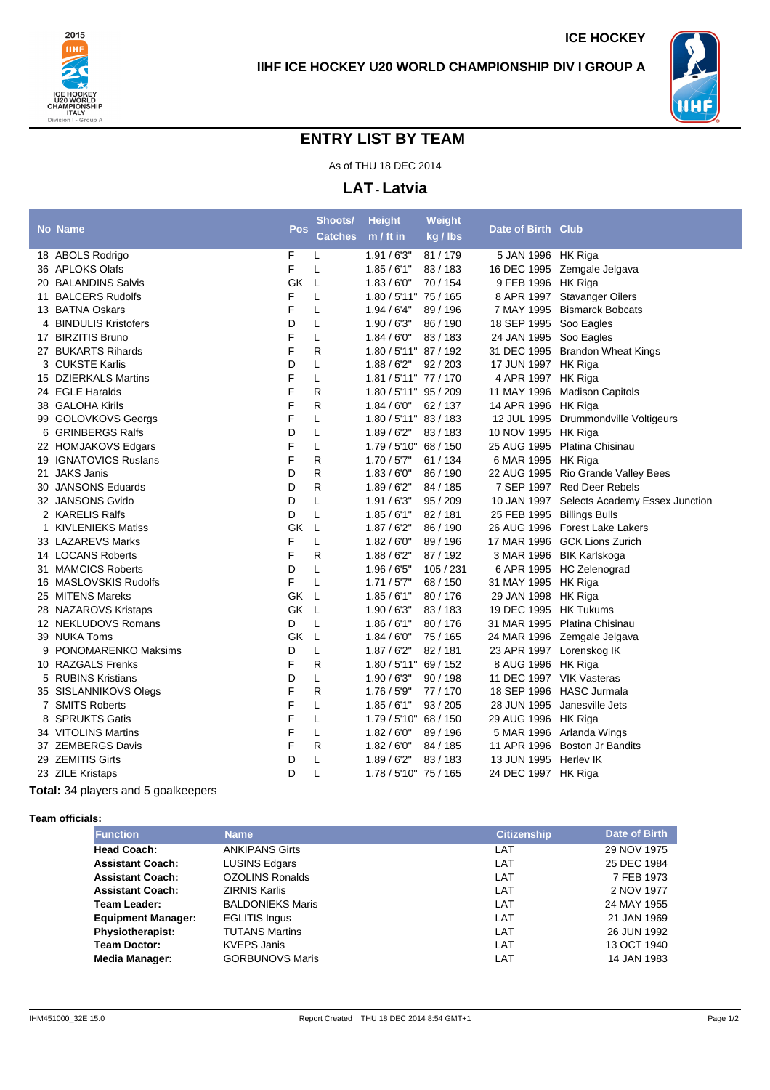



## **ENTRY LIST BY TEAM**

As of THU 18 DEC 2014

**LAT - Latvia**

|   | <b>No Name</b>             | <b>Pos</b> | Shoots/        | <b>Height</b>            | Weight    | Date of Birth Club         |                                            |
|---|----------------------------|------------|----------------|--------------------------|-----------|----------------------------|--------------------------------------------|
|   |                            |            | <b>Catches</b> | m / ft in                | kg / lbs  |                            |                                            |
|   | 18 ABOLS Rodrigo           | F          | L              | 1.91/6'3''               | 81 / 179  | 5 JAN 1996 HK Riga         |                                            |
|   | 36 APLOKS Olafs            | F          | L              | 1.85/6'1"                | 83/183    |                            | 16 DEC 1995 Zemgale Jelgava                |
|   | 20 BALANDINS Salvis        | GK         | L              | 1.83/6'0''               | 70 / 154  | 9 FEB 1996 HK Riga         |                                            |
|   | 11 BALCERS Rudolfs         | F          | Г              | 1.80 / 5'11" 75 / 165    |           |                            | 8 APR 1997 Stavanger Oilers                |
|   | 13 BATNA Oskars            | F          | L              | 1.94/6'4"                | 89 / 196  |                            | 7 MAY 1995 Bismarck Bobcats                |
|   | 4 BINDULIS Kristofers      | D          | Г              | 1.90/6'3''               | 86 / 190  | 18 SEP 1995 Soo Eagles     |                                            |
|   | 17 BIRZITIS Bruno          | F          | Г              | 1.84/6'0''               | 83/183    | 24 JAN 1995 Soo Eagles     |                                            |
|   | 27 BUKARTS Rihards         | F          | R              | 1.80 / 5'11" 87 / 192    |           |                            | 31 DEC 1995 Brandon Wheat Kings            |
|   | 3 CUKSTE Karlis            | D          | L              | 1.88/6'2"                | 92/203    | 17 JUN 1997 HK Riga        |                                            |
|   | 15 DZIERKALS Martins       | F          | Г              | 1.81 / 5'11" 77 / 170    |           | 4 APR 1997 HK Riga         |                                            |
|   | 24 EGLE Haralds            | F          | R              | 1.80 / 5'11" 95 / 209    |           | 11 MAY 1996                | <b>Madison Capitols</b>                    |
|   | 38 GALOHA Kirils           | F          | R              | 1.84/6'0''               | 62/137    | 14 APR 1996 HK Riga        |                                            |
|   | 99 GOLOVKOVS Georgs        | F          | Г              | $1.80 / 5'11''$ 83 / 183 |           |                            | 12 JUL 1995 Drummondville Voltigeurs       |
|   | 6 GRINBERGS Ralfs          | D          | L              | 1.89/6'2"                | 83/183    | 10 NOV 1995 HK Riga        |                                            |
|   | 22 HOMJAKOVS Edgars        | F          | Г              | $1.79 / 5'10''$ 68 / 150 |           |                            | 25 AUG 1995 Platina Chisinau               |
|   | 19 IGNATOVICS Ruslans      | F          | R              | 1.70/57"                 | 61 / 134  | 6 MAR 1995 HK Riga         |                                            |
|   | 21 JAKS Janis              | D          | R              | 1.83/6'0''               | 86 / 190  |                            | 22 AUG 1995 Rio Grande Valley Bees         |
|   | 30 JANSONS Eduards         | D          | R              | 1.89/6'2"                | 84 / 185  |                            | 7 SEP 1997 Red Deer Rebels                 |
|   | 32 JANSONS Gvido           | D          | Г              | 1.91/6'3''               | 95 / 209  |                            | 10 JAN 1997 Selects Academy Essex Junction |
|   | 2 KARELIS Ralfs            | D          | Г              | 1.85/6'1"                | 82 / 181  | 25 FEB 1995 Billings Bulls |                                            |
| 1 | <b>KIVLENIEKS Matiss</b>   | GK         | Г              | 1.87/6'2"                | 86 / 190  |                            | 26 AUG 1996 Forest Lake Lakers             |
|   | 33 LAZAREVS Marks          | F          | Г              | 1.82/6'0''               | 89 / 196  |                            | 17 MAR 1996 GCK Lions Zurich               |
|   | 14 LOCANS Roberts          | F          | R              | 1.88/6'2"                | 87 / 192  |                            | 3 MAR 1996 BIK Karlskoga                   |
|   | 31 MAMCICS Roberts         | D          | Г              | 1.96/65"                 | 105 / 231 |                            | 6 APR 1995 HC Zelenograd                   |
|   | 16 MASLOVSKIS Rudolfs      | F          | L              | 1.71/57"                 | 68 / 150  | 31 MAY 1995 HK Riga        |                                            |
|   | 25 MITENS Mareks           | GK         | L              | 1.85/6'1''               | 80/176    | 29 JAN 1998 HK Riga        |                                            |
|   | 28 NAZAROVS Kristaps       | GK         | $\mathsf{L}$   | 1.90 / 6'3"              | 83/183    | 19 DEC 1995 HK Tukums      |                                            |
|   | 12 NEKLUDOVS Romans        | D          | Г              | 1.86/6'1"                | 80 / 176  |                            | 31 MAR 1995 Platina Chisinau               |
|   | 39 NUKA Toms               | GK         | L              | 1.84/6'0''               | 75 / 165  |                            | 24 MAR 1996 Zemgale Jelgava                |
| 9 | <b>PONOMARENKO Maksims</b> | D          | Г              | 1.87/6'2"                | 82 / 181  | 23 APR 1997 Lorenskog IK   |                                            |
|   | 10 RAZGALS Frenks          | F          | R              | 1.80 / 5'11" 69 / 152    |           | 8 AUG 1996 HK Riga         |                                            |
|   | 5 RUBINS Kristians         | D          | Г              | 1.90/6'3''               | 90/198    | 11 DEC 1997 VIK Vasteras   |                                            |
|   | 35 SISLANNIKOVS Olegs      | F          | R              | 1.76/5'9"                | 77 / 170  |                            | 18 SEP 1996 HASC Jurmala                   |
|   | 7 SMITS Roberts            | F          | L              | 1.85/6'1"                | 93 / 205  |                            | 28 JUN 1995 Janesville Jets                |
| 8 | <b>SPRUKTS Gatis</b>       | F          | Г              | $1.79 / 5'10''$ 68 / 150 |           | 29 AUG 1996 HK Riga        |                                            |
|   | 34 VITOLINS Martins        | F          | L              | 1.82/6'0''               | 89 / 196  |                            | 5 MAR 1996 Arlanda Wings                   |
|   | 37 ZEMBERGS Davis          | F          | R              | 1.82/6'0''               | 84 / 185  |                            | 11 APR 1996 Boston Jr Bandits              |
|   | 29 ZEMITIS Girts           | D          | L              | 1.89/6'2"                | 83/183    | 13 JUN 1995 Herley IK      |                                            |
|   | 23 ZILE Kristaps           | D          | L              | 1.78 / 5'10" 75 / 165    |           | 24 DEC 1997 HK Riga        |                                            |
|   |                            |            |                |                          |           |                            |                                            |

**Total:** 34 players and 5 goalkeepers

**Team officials:**

| <b>Function</b>           | <b>Name</b>             | <b>Citizenship</b> | Date of Birth |
|---------------------------|-------------------------|--------------------|---------------|
| <b>Head Coach:</b>        | <b>ANKIPANS Girts</b>   | LAT                | 29 NOV 1975   |
| <b>Assistant Coach:</b>   | <b>LUSINS Edgars</b>    | LAT                | 25 DEC 1984   |
| <b>Assistant Coach:</b>   | <b>OZOLINS Ronalds</b>  | LAT                | 7 FEB 1973    |
| <b>Assistant Coach:</b>   | <b>ZIRNIS Karlis</b>    | LAT                | 2 NOV 1977    |
| Team Leader:              | <b>BALDONIEKS Maris</b> | LAT                | 24 MAY 1955   |
| <b>Equipment Manager:</b> | <b>EGLITIS Ingus</b>    | LAT                | 21 JAN 1969   |
| Physiotherapist:          | <b>TUTANS Martins</b>   | LAT                | 26 JUN 1992   |
| <b>Team Doctor:</b>       | <b>KVEPS Janis</b>      | LAT                | 13 OCT 1940   |
| Media Manager:            | <b>GORBUNOVS Maris</b>  | LAT                | 14 JAN 1983   |